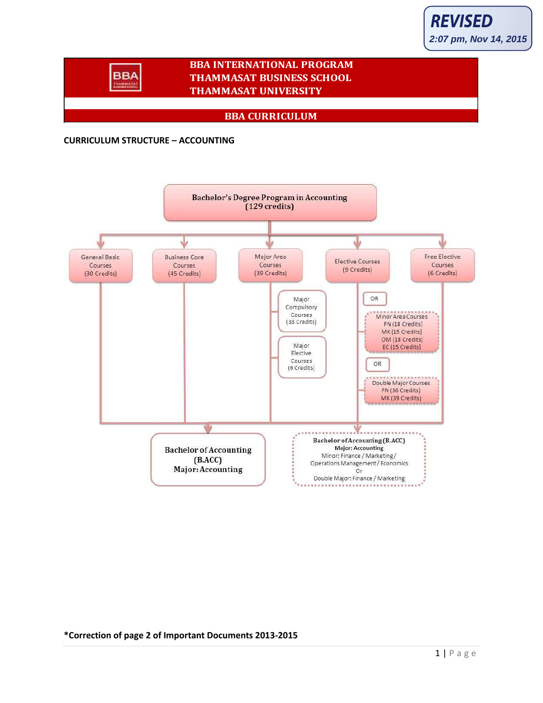### **BBA INTERNATIONAL PROGRAM THAMMASAT BUSINESS SCHOOL THAMMASAT UNIVERSITY**

**BBA CURRICULUM**

#### **CURRICULUM STRUCTURE – ACCOUNTING**

**BBA TRAMMAT** 



**\*Correction of page 2 of Important Documents 2013-2015**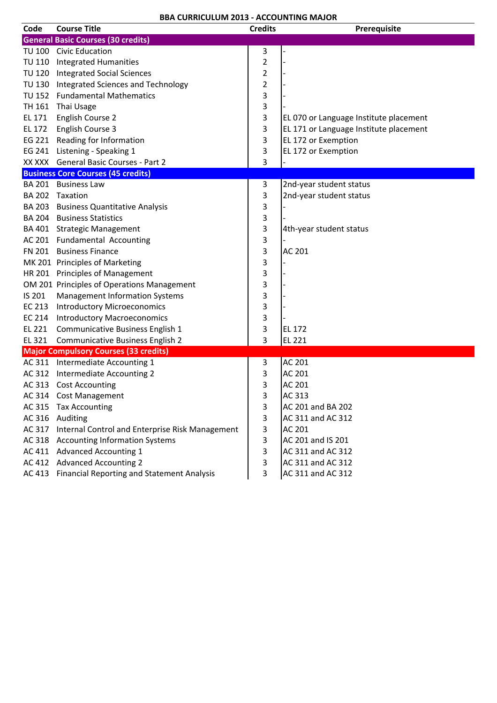| Code   | <b>Course Title</b>                               | <b>Credits</b>          | Prerequisite                           |
|--------|---------------------------------------------------|-------------------------|----------------------------------------|
|        | <b>General Basic Courses (30 credits)</b>         |                         |                                        |
|        | TU 100 Civic Education                            | 3                       |                                        |
|        | TU 110 Integrated Humanities                      | $\overline{c}$          |                                        |
|        | TU 120 Integrated Social Sciences                 | $\overline{\mathbf{c}}$ |                                        |
|        | TU 130 Integrated Sciences and Technology         | 2                       |                                        |
|        | TU 152 Fundamental Mathematics                    | 3                       |                                        |
| TH 161 | Thai Usage                                        | 3                       |                                        |
| EL 171 | English Course 2                                  | 3                       | EL 070 or Language Institute placement |
| EL 172 | English Course 3                                  | 3                       | EL 171 or Language Institute placement |
|        | EG 221 Reading for Information                    | 3                       | EL 172 or Exemption                    |
|        | EG 241 Listening - Speaking 1                     | 3                       | EL 172 or Exemption                    |
|        | XX XXX General Basic Courses - Part 2             | 3                       |                                        |
|        | <b>Business Core Courses (45 credits)</b>         |                         |                                        |
|        | BA 201 Business Law                               | 3                       | 2nd-year student status                |
|        | BA 202 Taxation                                   | 3                       | 2nd-year student status                |
|        | BA 203 Business Quantitative Analysis             | 3                       |                                        |
|        | <b>BA 204 Business Statistics</b>                 | 3                       |                                        |
|        | BA 401 Strategic Management                       | 3                       | 4th-year student status                |
|        | AC 201 Fundamental Accounting                     | 3                       |                                        |
|        | FN 201 Business Finance                           | 3                       | <b>AC 201</b>                          |
|        | MK 201 Principles of Marketing                    | 3                       |                                        |
|        | HR 201 Principles of Management                   | 3                       |                                        |
|        | OM 201 Principles of Operations Management        | 3                       |                                        |
| IS 201 | <b>Management Information Systems</b>             | 3                       |                                        |
| EC 213 | <b>Introductory Microeconomics</b>                | 3                       |                                        |
| EC 214 | <b>Introductory Macroeconomics</b>                | 3                       |                                        |
| EL 221 | Communicative Business English 1                  | 3                       | <b>EL 172</b>                          |
|        | EL 321 Communicative Business English 2           | 3                       | <b>EL 221</b>                          |
|        | <b>Major Compulsory Courses (33 credits)</b>      |                         |                                        |
|        | AC 311 Intermediate Accounting 1                  | 3                       | <b>AC 201</b>                          |
|        | AC 312 Intermediate Accounting 2                  | 3                       | <b>AC 201</b>                          |
|        | AC 313 Cost Accounting                            | 3                       | <b>AC 201</b>                          |
|        | AC 314 Cost Management                            | 3                       | AC 313                                 |
|        | AC 315 Tax Accounting                             | 3                       | AC 201 and BA 202                      |
|        | AC 316 Auditing                                   | 3                       | AC 311 and AC 312                      |
| AC 317 | Internal Control and Enterprise Risk Management   | 3                       | AC 201                                 |
|        | AC 318 Accounting Information Systems             | 3                       | AC 201 and IS 201                      |
|        | AC 411 Advanced Accounting 1                      | 3                       | AC 311 and AC 312                      |
|        | AC 412 Advanced Accounting 2                      | 3                       | AC 311 and AC 312                      |
|        | AC 413 Financial Reporting and Statement Analysis | 3                       | AC 311 and AC 312                      |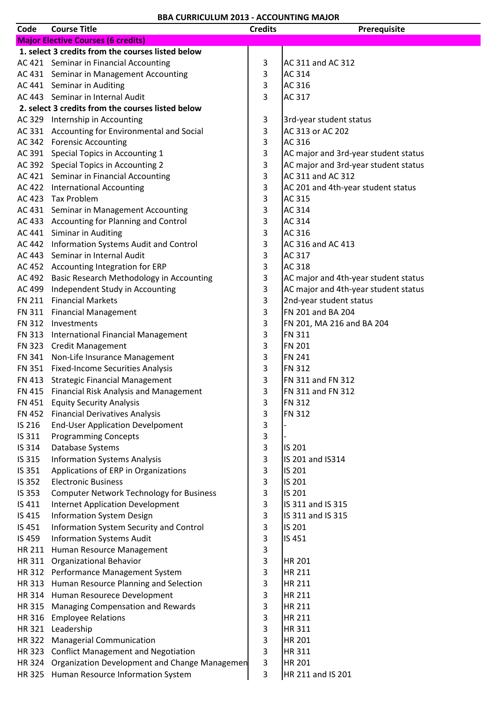| Code          | <b>Course Title</b>                                  | <b>Credits</b> | Prerequisite                         |
|---------------|------------------------------------------------------|----------------|--------------------------------------|
|               | <b>Major Elective Courses (6 credits)</b>            |                |                                      |
|               | 1. select 3 credits from the courses listed below    |                |                                      |
|               | AC 421 Seminar in Financial Accounting               | $\mathbf{3}$   | AC 311 and AC 312                    |
|               | AC 431 Seminar in Management Accounting              | 3              | AC 314                               |
|               | AC 441 Seminar in Auditing                           | 3              | AC 316                               |
|               | AC 443 Seminar in Internal Audit                     | 3              | AC 317                               |
|               | 2. select 3 credits from the courses listed below    |                |                                      |
|               | AC 329 Internship in Accounting                      | $\mathbf{3}$   | 3rd-year student status              |
|               | AC 331 Accounting for Environmental and Social       | 3              | AC 313 or AC 202                     |
|               | AC 342 Forensic Accounting                           | 3              | AC 316                               |
|               | AC 391 Special Topics in Accounting 1                | 3              | AC major and 3rd-year student status |
|               | AC 392 Special Topics in Accounting 2                | 3              | AC major and 3rd-year student status |
|               | AC 421 Seminar in Financial Accounting               | 3              | AC 311 and AC 312                    |
|               | AC 422 International Accounting                      | 3              | AC 201 and 4th-year student status   |
|               | AC 423 Tax Problem                                   | 3              | AC 315                               |
|               | AC 431 Seminar in Management Accounting              | 3              | AC 314                               |
|               | AC 433 Accounting for Planning and Control           | 3              | AC 314                               |
|               | AC 441 Siminar in Auditing                           | 3              | AC 316                               |
|               | AC 442 Information Systems Audit and Control         | 3              | AC 316 and AC 413                    |
|               | AC 443 Seminar in Internal Audit                     | 3              | AC 317                               |
|               | AC 452 Accounting Integration for ERP                | 3              | AC 318                               |
|               | AC 492 Basic Research Methodology in Accounting      | 3              | AC major and 4th-year student status |
| AC 499        | Independent Study in Accounting                      | 3              | AC major and 4th-year student status |
|               | FN 211 Financial Markets                             | 3              | 2nd-year student status              |
|               | FN 311 Financial Management                          | 3              | FN 201 and BA 204                    |
|               | FN 312 Investments                                   | 3              | FN 201, MA 216 and BA 204            |
|               | FN 313 International Financial Management            | 3              | FN 311                               |
|               | FN 323 Credit Management                             | 3              | <b>FN 201</b>                        |
|               | FN 341 Non-Life Insurance Management                 | 3              | <b>FN 241</b>                        |
|               | FN 351 Fixed-Income Securities Analysis              | 3              | <b>FN 312</b>                        |
|               | FN 413 Strategic Financial Management                | 3              | FN 311 and FN 312                    |
|               | FN 415 Financial Risk Analysis and Management        | 3              | FN 311 and FN 312                    |
|               | FN 451 Equity Security Analysis                      | 3              | <b>FN 312</b>                        |
| <b>FN 452</b> | <b>Financial Derivatives Analysis</b>                | 3              | <b>FN 312</b>                        |
| IS 216        | <b>End-User Application Develpoment</b>              | 3              |                                      |
| IS 311        | <b>Programming Concepts</b>                          | 3              |                                      |
| IS 314        | Database Systems                                     | 3              | IS 201                               |
| IS 315        | <b>Information Systems Analysis</b>                  | 3              | IS 201 and IS314                     |
| IS 351        | Applications of ERP in Organizations                 | 3              | IS 201                               |
| IS 352        | <b>Electronic Business</b>                           | 3              | <b>IS 201</b>                        |
| IS 353        | <b>Computer Network Technology for Business</b>      | 3              | IS 201                               |
| IS 411        | <b>Internet Application Development</b>              | 3              | IS 311 and IS 315                    |
| IS 415        | <b>Information System Design</b>                     | 3              | IS 311 and IS 315                    |
| IS 451        | Information System Security and Control              | 3              | IS 201                               |
| IS 459        | <b>Information Systems Audit</b>                     | $\mathbf{3}$   | IS 451                               |
| HR 211        | Human Resource Management                            | 3              |                                      |
| HR 311        | <b>Organizational Behavior</b>                       | $\mathbf{3}$   | HR 201                               |
|               | HR 312 Performance Management System                 | 3              | <b>HR 211</b>                        |
|               | HR 313 Human Resource Planning and Selection         | $\mathbf{3}$   | <b>HR 211</b>                        |
|               | HR 314 Human Resourece Development                   | 3              | HR 211                               |
|               | HR 315 Managing Compensation and Rewards             | 3              | <b>HR 211</b>                        |
|               | HR 316 Employee Relations                            | 3              | <b>HR 211</b>                        |
|               | HR 321 Leadership                                    | 3              | HR 311                               |
| HR 322        | <b>Managerial Communication</b>                      | 3              | HR 201                               |
|               | HR 323 Conflict Management and Negotiation           | 3              | <b>HR311</b>                         |
|               | HR 324 Organization Development and Change Managemen | 3              | HR 201                               |
|               | HR 325 Human Resource Information System             | 3              | HR 211 and IS 201                    |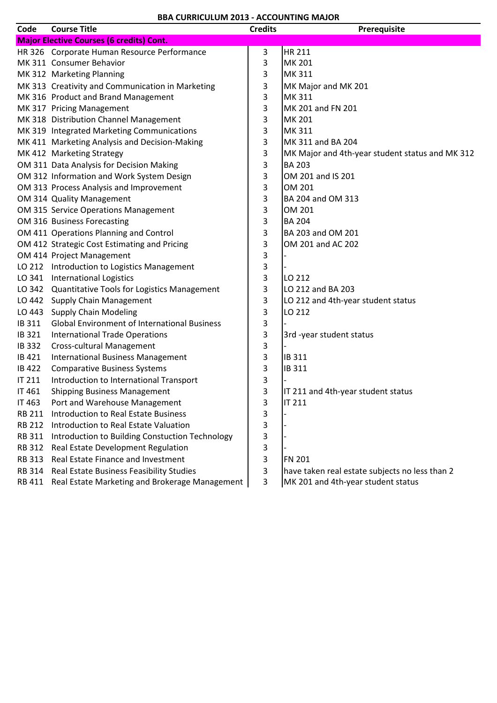| Code          | <b>Course Title</b>                                 | <b>Credits</b> | Prerequisite                                    |
|---------------|-----------------------------------------------------|----------------|-------------------------------------------------|
|               | <b>Major Elective Courses (6 credits) Cont.</b>     |                |                                                 |
|               | HR 326 Corporate Human Resource Performance         | 3              | <b>HR 211</b>                                   |
|               | MK 311 Consumer Behavior                            | 3              | <b>MK 201</b>                                   |
|               | MK 312 Marketing Planning                           | 3              | MK 311                                          |
|               | MK 313 Creativity and Communication in Marketing    | 3              | MK Major and MK 201                             |
|               | MK 316 Product and Brand Management                 | 3              | MK 311                                          |
|               | MK 317 Pricing Management                           | 3              | MK 201 and FN 201                               |
|               | MK 318 Distribution Channel Management              | 3              | <b>MK 201</b>                                   |
|               | MK 319 Integrated Marketing Communications          | 3              | MK 311                                          |
|               | MK 411 Marketing Analysis and Decision-Making       | 3              | MK 311 and BA 204                               |
|               | MK 412 Marketing Strategy                           | 3              | MK Major and 4th-year student status and MK 312 |
|               | OM 311 Data Analysis for Decision Making            | 3              | <b>BA 203</b>                                   |
|               | OM 312 Information and Work System Design           | 3              | OM 201 and IS 201                               |
|               | OM 313 Process Analysis and Improvement             | 3              | OM 201                                          |
|               | OM 314 Quality Management                           | 3              | BA 204 and OM 313                               |
|               | OM 315 Service Operations Management                | 3              | OM 201                                          |
|               | OM 316 Business Forecasting                         | 3              | <b>BA 204</b>                                   |
|               | OM 411 Operations Planning and Control              | 3              | BA 203 and OM 201                               |
|               | OM 412 Strategic Cost Estimating and Pricing        | 3              | OM 201 and AC 202                               |
|               | OM 414 Project Management                           | 3              |                                                 |
|               | LO 212 Introduction to Logistics Management         | 3              |                                                 |
| LO 341        | <b>International Logistics</b>                      | 3              | LO 212                                          |
|               | LO 342 Quantitative Tools for Logistics Management  | 3              | LO 212 and BA 203                               |
|               | LO 442 Supply Chain Management                      | 3              | LO 212 and 4th-year student status              |
| LO 443        | <b>Supply Chain Modeling</b>                        | 3              | LO 212                                          |
| IB 311        | <b>Global Environment of International Business</b> | 3              |                                                 |
| IB 321        | <b>International Trade Operations</b>               | 3              | 3rd -year student status                        |
| <b>IB 332</b> | <b>Cross-cultural Management</b>                    | 3              |                                                 |
| IB 421        | <b>International Business Management</b>            | 3              | IB 311                                          |
| <b>IB422</b>  | <b>Comparative Business Systems</b>                 | 3              | IB 311                                          |
| <b>IT 211</b> | Introduction to International Transport             | 3              |                                                 |
| IT 461        | <b>Shipping Business Management</b>                 | 3              | IT 211 and 4th-year student status              |
| IT 463        | Port and Warehouse Management                       | 3              | <b>IT 211</b>                                   |
| <b>RB 211</b> | <b>Introduction to Real Estate Business</b>         | 3              |                                                 |
| <b>RB 212</b> | Introduction to Real Estate Valuation               | 3              |                                                 |
| RB 311        | Introduction to Building Constuction Technology     | 3              |                                                 |
| <b>RB 312</b> | Real Estate Development Regulation                  | 3              |                                                 |
| RB 313        | Real Estate Finance and Investment                  | 3              | <b>FN 201</b>                                   |
| RB 314        | Real Estate Business Feasibility Studies            | 3              | have taken real estate subjects no less than 2  |
| RB 411        | Real Estate Marketing and Brokerage Management      | 3              | MK 201 and 4th-year student status              |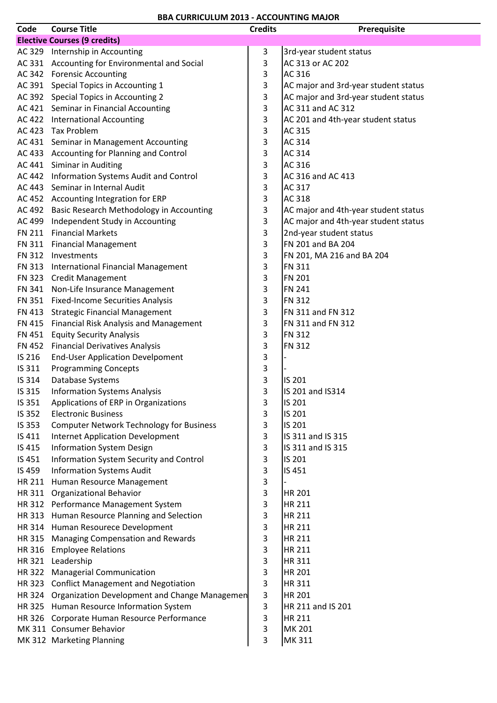| Code          | <b>Course Title</b>                                  | <b>Credits</b> | Prerequisite                         |
|---------------|------------------------------------------------------|----------------|--------------------------------------|
|               | <b>Elective Courses (9 credits)</b>                  |                |                                      |
|               | AC 329 Internship in Accounting                      | 3              | 3rd-year student status              |
|               | AC 331 Accounting for Environmental and Social       | 3              | AC 313 or AC 202                     |
|               | AC 342 Forensic Accounting                           | 3              | AC 316                               |
|               | AC 391 Special Topics in Accounting 1                | 3              | AC major and 3rd-year student status |
|               | AC 392 Special Topics in Accounting 2                | 3              | AC major and 3rd-year student status |
|               | AC 421 Seminar in Financial Accounting               | 3              | AC 311 and AC 312                    |
|               | AC 422 International Accounting                      | 3              | AC 201 and 4th-year student status   |
|               | AC 423 Tax Problem                                   | 3              | <b>AC 315</b>                        |
|               | AC 431 Seminar in Management Accounting              | 3              | AC 314                               |
|               | AC 433 Accounting for Planning and Control           | 3              | AC 314                               |
|               | AC 441 Siminar in Auditing                           | 3              | AC 316                               |
|               | AC 442 Information Systems Audit and Control         | 3              | AC 316 and AC 413                    |
|               | AC 443 Seminar in Internal Audit                     | 3              | AC 317                               |
|               | AC 452 Accounting Integration for ERP                | 3              | AC 318                               |
|               | AC 492 Basic Research Methodology in Accounting      | 3              | AC major and 4th-year student status |
| AC 499        | Independent Study in Accounting                      | 3              | AC major and 4th-year student status |
|               | FN 211 Financial Markets                             | 3              | 2nd-year student status              |
|               | FN 311 Financial Management                          | 3              | FN 201 and BA 204                    |
| <b>FN 312</b> | Investments                                          | 3              | FN 201, MA 216 and BA 204            |
|               | FN 313 International Financial Management            | 3              | <b>FN 311</b>                        |
|               | FN 323 Credit Management                             | 3              | <b>FN 201</b>                        |
|               | FN 341 Non-Life Insurance Management                 | 3              | <b>FN 241</b>                        |
|               | FN 351 Fixed-Income Securities Analysis              | 3              | <b>FN 312</b>                        |
| FN 413        | <b>Strategic Financial Management</b>                | 3              | FN 311 and FN 312                    |
|               | FN 415 Financial Risk Analysis and Management        | 3              | FN 311 and FN 312                    |
|               | FN 451 Equity Security Analysis                      | 3              | <b>FN 312</b>                        |
| FN 452        | <b>Financial Derivatives Analysis</b>                | 3              | <b>FN 312</b>                        |
| IS 216        | <b>End-User Application Develpoment</b>              | 3              |                                      |
| IS 311        | <b>Programming Concepts</b>                          | 3              |                                      |
| IS 314        | Database Systems                                     | 3              | IS 201                               |
| IS 315        | <b>Information Systems Analysis</b>                  | 3              | IS 201 and IS314                     |
| IS 351        | Applications of ERP in Organizations                 | 3              | IS 201                               |
| IS 352        | <b>Electronic Business</b>                           | 3              | IS 201                               |
| IS 353        | <b>Computer Network Technology for Business</b>      | 3              | IS 201                               |
| IS 411        | <b>Internet Application Development</b>              | 3              | IS 311 and IS 315                    |
| IS 415        | <b>Information System Design</b>                     | 3              | IS 311 and IS 315                    |
| IS 451        | Information System Security and Control              | 3              | IS 201                               |
| IS 459        | <b>Information Systems Audit</b>                     | 3              | IS 451                               |
| HR 211        | Human Resource Management                            | 3              |                                      |
|               | HR 311 Organizational Behavior                       | 3              | <b>HR 201</b>                        |
|               | HR 312 Performance Management System                 | 3              | <b>HR 211</b>                        |
|               | HR 313 Human Resource Planning and Selection         | 3              | HR 211                               |
|               | HR 314 Human Resourece Development                   | 3              | <b>HR 211</b>                        |
|               | HR 315 Managing Compensation and Rewards             | 3              | <b>HR 211</b>                        |
|               | HR 316 Employee Relations                            | 3              | <b>HR 211</b>                        |
|               | HR 321 Leadership                                    | 3              | <b>HR311</b>                         |
|               | HR 322 Managerial Communication                      | 3              | <b>HR 201</b>                        |
|               | HR 323 Conflict Management and Negotiation           | 3              | <b>HR311</b>                         |
|               | HR 324 Organization Development and Change Managemen | 3              | <b>HR 201</b>                        |
|               | HR 325 Human Resource Information System             | 3              | HR 211 and IS 201                    |
|               | HR 326 Corporate Human Resource Performance          | 3              | <b>HR 211</b>                        |
|               | MK 311 Consumer Behavior                             | 3              | MK 201                               |
|               | MK 312 Marketing Planning                            | 3              | MK 311                               |
|               |                                                      |                |                                      |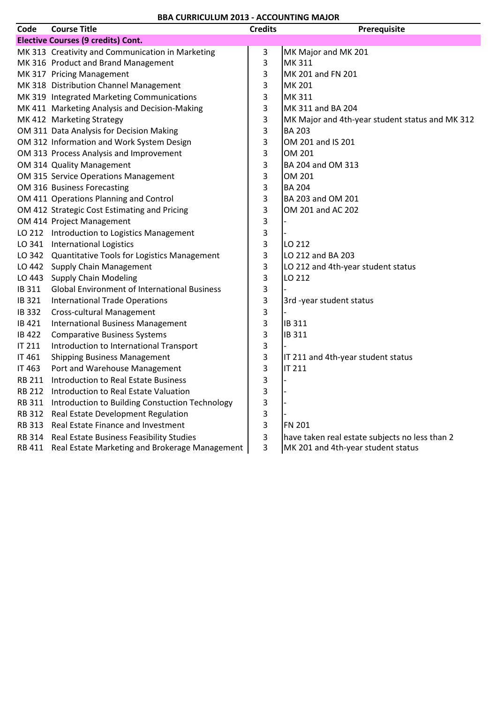| Code         | <b>Course Title</b>                                 | <b>Credits</b> | Prerequisite                                    |
|--------------|-----------------------------------------------------|----------------|-------------------------------------------------|
|              | <b>Elective Courses (9 credits) Cont.</b>           |                |                                                 |
|              | MK 313 Creativity and Communication in Marketing    | 3              | MK Major and MK 201                             |
|              | MK 316 Product and Brand Management                 | 3              | <b>MK311</b>                                    |
|              | MK 317 Pricing Management                           | 3              | MK 201 and FN 201                               |
|              | MK 318 Distribution Channel Management              | 3              | <b>MK 201</b>                                   |
|              | MK 319 Integrated Marketing Communications          | 3              | <b>MK311</b>                                    |
|              | MK 411 Marketing Analysis and Decision-Making       | 3              | MK 311 and BA 204                               |
|              | MK 412 Marketing Strategy                           | 3              | MK Major and 4th-year student status and MK 312 |
|              | OM 311 Data Analysis for Decision Making            | 3              | <b>BA 203</b>                                   |
|              | OM 312 Information and Work System Design           | 3              | OM 201 and IS 201                               |
|              | OM 313 Process Analysis and Improvement             | 3              | OM 201                                          |
|              | OM 314 Quality Management                           | 3              | BA 204 and OM 313                               |
|              | OM 315 Service Operations Management                | 3              | OM 201                                          |
|              | OM 316 Business Forecasting                         | 3              | <b>BA 204</b>                                   |
|              | OM 411 Operations Planning and Control              | 3              | BA 203 and OM 201                               |
|              | OM 412 Strategic Cost Estimating and Pricing        | 3              | OM 201 and AC 202                               |
|              | OM 414 Project Management                           | 3              |                                                 |
|              | LO 212 Introduction to Logistics Management         | 3              |                                                 |
|              | LO 341 International Logistics                      | 3              | LO 212                                          |
|              | LO 342 Quantitative Tools for Logistics Management  | 3              | LO 212 and BA 203                               |
|              | LO 442 Supply Chain Management                      | 3              | LO 212 and 4th-year student status              |
|              | LO 443 Supply Chain Modeling                        | 3              | LO 212                                          |
| IB 311       | <b>Global Environment of International Business</b> | 3              |                                                 |
| IB 321       | <b>International Trade Operations</b>               | 3              | 3rd -year student status                        |
| <b>IB332</b> | <b>Cross-cultural Management</b>                    | 3              |                                                 |
| IB 421       | <b>International Business Management</b>            | 3              | IB 311                                          |
| <b>IB422</b> | <b>Comparative Business Systems</b>                 | 3              | <b>IB 311</b>                                   |
| IT 211       | Introduction to International Transport             | 3              |                                                 |
| IT 461       | <b>Shipping Business Management</b>                 | 3              | IT 211 and 4th-year student status              |
| IT 463       | Port and Warehouse Management                       | 3              | <b>IT 211</b>                                   |
| RB 211       | <b>Introduction to Real Estate Business</b>         | 3              |                                                 |
| RB 212       | Introduction to Real Estate Valuation               | 3              |                                                 |
| RB 311       | Introduction to Building Constuction Technology     | 3              |                                                 |
| RB 312       | Real Estate Development Regulation                  | 3              |                                                 |
| RB 313       | Real Estate Finance and Investment                  | 3              | <b>FN 201</b>                                   |
| RB 314       | Real Estate Business Feasibility Studies            | 3              | have taken real estate subjects no less than 2  |
| RB 411       | Real Estate Marketing and Brokerage Management      | 3              | MK 201 and 4th-year student status              |